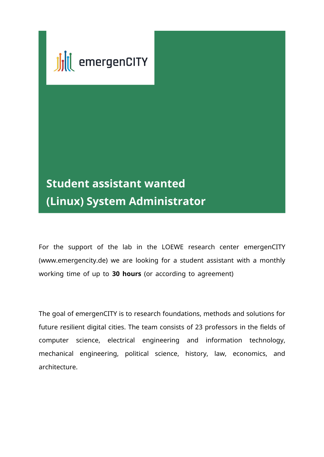

## **Student assistant wanted (Linux) System Administrator**

For the support of the lab in the LOEWE research center emergenCITY (www.emergencity.de) we are looking for a student assistant with a monthly working time of up to 30 hours (or according to agreement)

The goal of emergenCITY is to research foundations, methods and solutions for future resilient digital cities. The team consists of 23 professors in the fields of computer science, electrical engineering and information technology, mechanical engineering, political science, history, law, economics, and architecture.